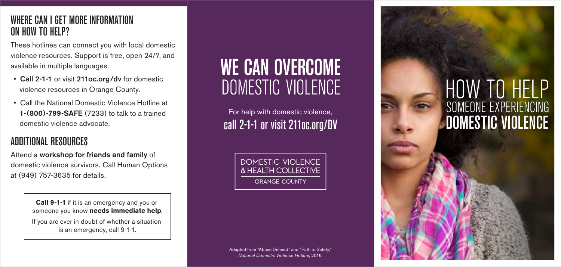#### WHERE CAN I GET MORE INFORMATION ON HOW TO HELP?

These hotlines can connect you with local domestic violence resources. Support is free, open 24/7, and available in multiple languages.

- Call 2-1-1 or visit 211oc.org/dv for domestic violence resources in Orange County.
- Call the National Domestic Violence Hotline at 1-(800)-799-SAFE (7233) to talk to a trained domestic violence advocate.

#### ADDITIONAL RESOURCES

Attend a workshop for friends and family of domestic violence survivors. Call Human Options at (949) 757-3635 for details.

> **Call 9-1-1** if it is an emergency and you or someone you know **needs immediate help**. If you are ever in doubt of whether a situation is an emergency, call 9-1-1.

## **WE CAN OVERCOME** DOMESTIC VIOLENCE

For help with domestic violence, call 2-1-1 or visit 211oc.org/DV

> DOMESTIC VIOLENCE & HEALTH COLLECTIVE **ORANGE COUNTY**

# HOW TO HELP DOMESTIC VIOLENCE SOMEONE EXPERIENCING